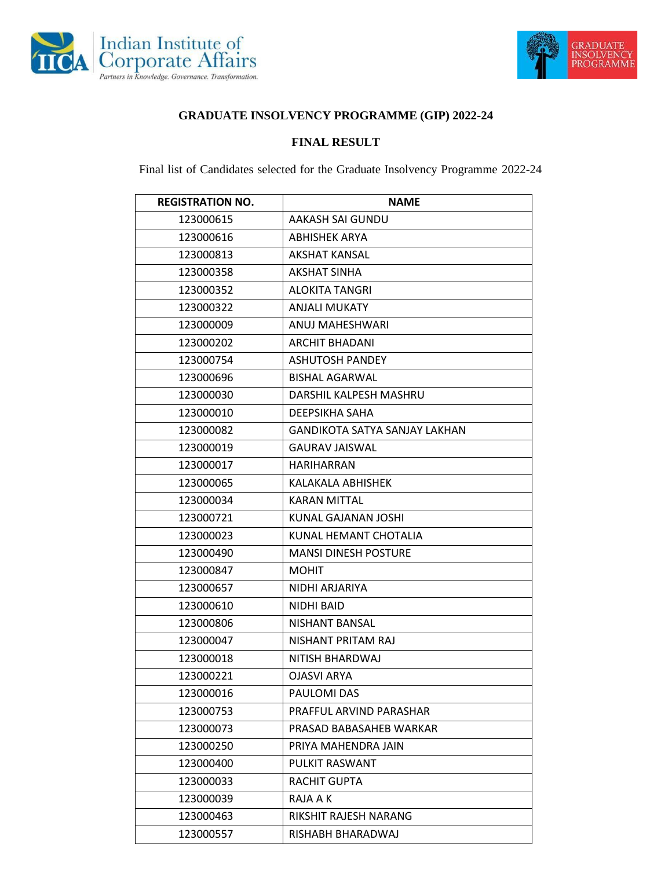



## **GRADUATE INSOLVENCY PROGRAMME (GIP) 2022-24**

## **FINAL RESULT**

Final list of Candidates selected for the Graduate Insolvency Programme 2022-24

| <b>REGISTRATION NO.</b> | <b>NAME</b>                          |
|-------------------------|--------------------------------------|
| 123000615               | AAKASH SAI GUNDU                     |
| 123000616               | <b>ABHISHEK ARYA</b>                 |
| 123000813               | <b>AKSHAT KANSAL</b>                 |
| 123000358               | <b>AKSHAT SINHA</b>                  |
| 123000352               | <b>ALOKITA TANGRI</b>                |
| 123000322               | <b>ANJALI MUKATY</b>                 |
| 123000009               | ANUJ MAHESHWARI                      |
| 123000202               | <b>ARCHIT BHADANI</b>                |
| 123000754               | <b>ASHUTOSH PANDEY</b>               |
| 123000696               | <b>BISHAL AGARWAL</b>                |
| 123000030               | DARSHIL KALPESH MASHRU               |
| 123000010               | DEEPSIKHA SAHA                       |
| 123000082               | <b>GANDIKOTA SATYA SANJAY LAKHAN</b> |
| 123000019               | <b>GAURAV JAISWAL</b>                |
| 123000017               | <b>HARIHARRAN</b>                    |
| 123000065               | KALAKALA ABHISHEK                    |
| 123000034               | <b>KARAN MITTAL</b>                  |
| 123000721               | KUNAL GAJANAN JOSHI                  |
| 123000023               | KUNAL HEMANT CHOTALIA                |
| 123000490               | <b>MANSI DINESH POSTURE</b>          |
| 123000847               | <b>MOHIT</b>                         |
| 123000657               | NIDHI ARJARIYA                       |
| 123000610               | NIDHI BAID                           |
| 123000806               | NISHANT BANSAL                       |
| 123000047               | NISHANT PRITAM RAJ                   |
| 123000018               | NITISH BHARDWAJ                      |
| 123000221               | <b>OJASVI ARYA</b>                   |
| 123000016               | PAULOMI DAS                          |
| 123000753               | PRAFFUL ARVIND PARASHAR              |
| 123000073               | PRASAD BABASAHEB WARKAR              |
| 123000250               | PRIYA MAHENDRA JAIN                  |
| 123000400               | PULKIT RASWANT                       |
| 123000033               | RACHIT GUPTA                         |
| 123000039               | RAJA A K                             |
| 123000463               | RIKSHIT RAJESH NARANG                |
| 123000557               | RISHABH BHARADWAJ                    |